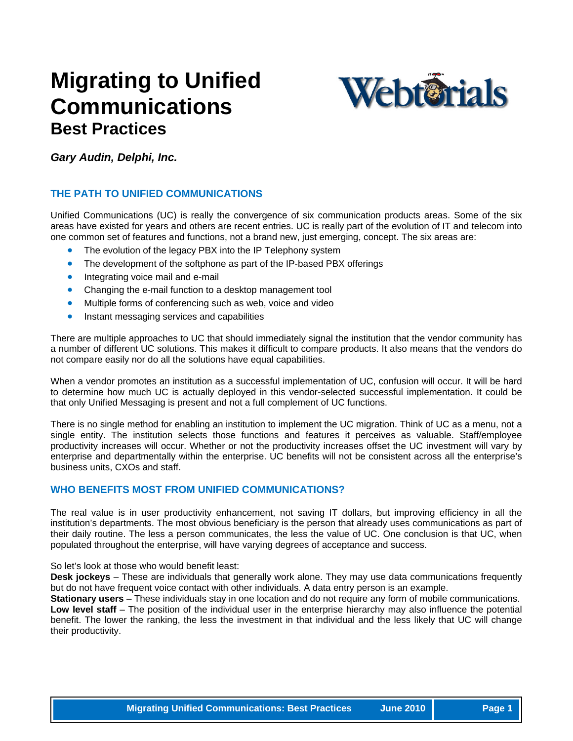## **Migrating to Unified Communications Best Practices**



*Gary Audin, Delphi, Inc.* 

#### **THE PATH TO UNIFIED COMMUNICATIONS**

Unified Communications (UC) is really the convergence of six communication products areas. Some of the six areas have existed for years and others are recent entries. UC is really part of the evolution of IT and telecom into one common set of features and functions, not a brand new, just emerging, concept. The six areas are:

- The evolution of the legacy PBX into the IP Telephony system
- The development of the softphone as part of the IP-based PBX offerings
- Integrating voice mail and e-mail
- Changing the e-mail function to a desktop management tool
- Multiple forms of conferencing such as web, voice and video
- Instant messaging services and capabilities

a number of different UC solutions. This makes it difficult to compare products. It also means that the vendors do not compare easily nor do all the solutions have equal capabilities. There are multiple approaches to UC that should immediately signal the institution that the vendor community has

to determine how much UC is actually deployed in this vendor-selected successful implementation. It could be that only Unified Messaging is present and not a full complement of UC functions. When a vendor promotes an institution as a successful implementation of UC, confusion will occur. It will be hard

enterprise and departmentally within the enterprise. UC benefits will not be consistent across all the enterprise's business units, CXOs and staff. There is no single method for enabling an institution to implement the UC migration. Think of UC as a menu, not a single entity. The institution selects those functions and features it perceives as valuable. Staff/employee productivity increases will occur. Whether or not the productivity increases offset the UC investment will vary by

#### **WHO BENEFITS MOST FROM UNIFIED COMMUNICATIONS?**

their daily routine. The less a person communicates, the less the value of UC. One conclusion is that UC, when populated throughout the enterprise, will have varying degrees of acceptance and success. The real value is in user productivity enhancement, not saving IT dollars, but improving efficiency in all the institution's departments. The most obvious beneficiary is the person that already uses communications as part of

So let's look at those who would benefit least:

**Desk jockeys** – These are individuals that generally work alone. They may use data communications frequently but do not have frequent voice contact with other individuals. A data entry person is an example.

benefit. The lower the ranking, the less the investment in that individual and the less likely that UC will change their productivity. **Stationary users** – These individuals stay in one location and do not require any form of mobile communications. **Low level staff** – The position of the individual user in the enterprise hierarchy may also influence the potential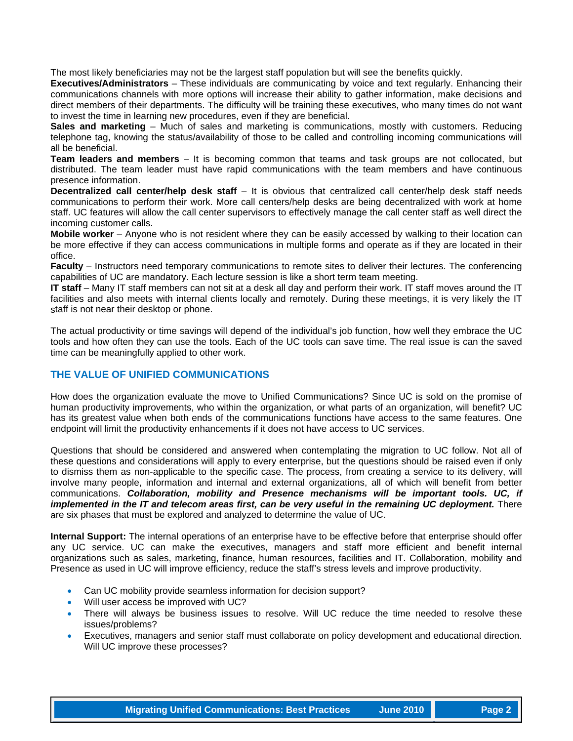The most likely beneficiaries may not be the largest staff population but will see the benefits quickly.

**Executives/Administrators** – These individuals are communicating by voice and text regularly. Enhancing their communications channels with more options will increase their ability to gather information, make decisions and direct members of their departments. The difficulty will be training these executives, who many times do not want to invest the time in learning new procedures, even if they are beneficial.

telephone tag, knowing the status/availability of those to be called and controlling incoming communications will **Sales and marketing** – Much of sales and marketing is communications, mostly with customers. Reducing all be beneficial.

distributed. The team leader must have rapid communications with the team members and have continuous **Team leaders and members** – It is becoming common that teams and task groups are not collocated, but presence information.

staff. UC features will allow the call center supervisors to effectively manage the call center staff as well direct the **Decentralized call center/help desk staff** – It is obvious that centralized call center/help desk staff needs communications to perform their work. More call centers/help desks are being decentralized with work at home incoming customer calls.

be more effective if they can access communications in multiple forms and operate as if they are located in their **Mobile worker** – Anyone who is not resident where they can be easily accessed by walking to their location can office.

Faculty – Instructors need temporary communications to remote sites to deliver their lectures. The conferencing capabilities of UC are mandatory. Each lecture session is like a short term team meeting.

facilities and also meets with internal clients locally and remotely. During these meetings, it is very likely the IT staff is not near their desktop or phone. **IT staff** – Many IT staff members can not sit at a desk all day and perform their work. IT staff moves around the IT

tools and how often they can use the tools. Each of the UC tools can save time. The real issue is can the saved time can be meaningfully applied to other work. The actual productivity or time savings will depend of the individual's job function, how well they embrace the UC

#### **THE VALUE OF UNIFIED COMMUNICATIONS**

has its greatest value when both ends of the communications functions have access to the same features. One endpoint will limit the productivity enhancements if it does not have access to UC services. How does the organization evaluate the move to Unified Communications? Since UC is sold on the promise of human productivity improvements, who within the organization, or what parts of an organization, will benefit? UC

*implemented in the IT and telecom areas first, can be very useful in the remaining UC deployment.* There are six phases that must be explored and analyzed to determine the value of UC. Questions that should be considered and answered when contemplating the migration to UC follow. Not all of these questions and considerations will apply to every enterprise, but the questions should be raised even if only to dismiss them as non-applicable to the specific case. The process, from creating a service to its delivery, will involve many people, information and internal and external organizations, all of which will benefit from better communications. *Collaboration, mobility and Presence mechanisms will be important tools. UC, if* 

Presence as used in UC will improve efficiency, reduce the staff's stress levels and improve productivity. **Internal Support:** The internal operations of an enterprise have to be effective before that enterprise should offer any UC service. UC can make the executives, managers and staff more efficient and benefit internal organizations such as sales, marketing, finance, human resources, facilities and IT. Collaboration, mobility and

- Can UC mobility provide seamless information for decision support?
- Will user access be improved with UC?
- There will always be business issues to resolve. Will UC reduce the time needed to resolve these issues/problems?
- Executives, managers and senior staff must collaborate on policy development and educational direction. Will UC improve these processes?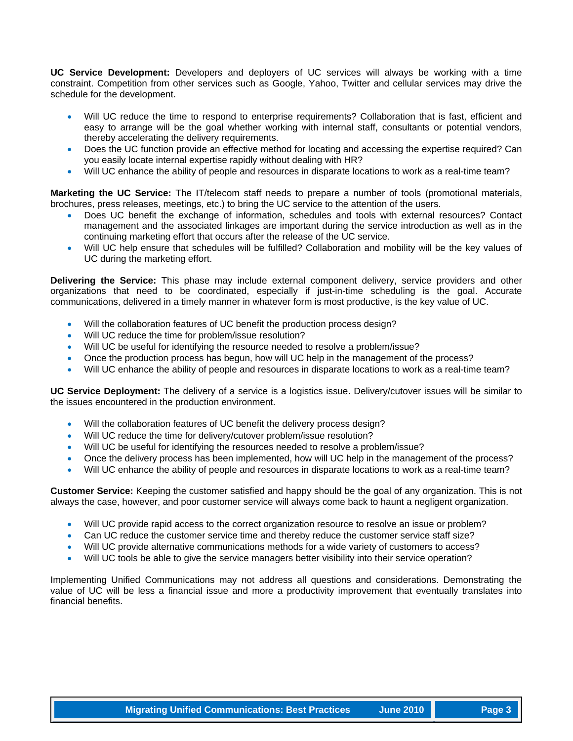**UC Service Development:** Developers and deployers of UC services will always be working with a time constraint. Competition from other services such as Google, Yahoo, Twitter and cellular services may drive the schedule for the development.

- Will UC reduce the time to respond to enterprise requirements? Collaboration that is fast, efficient and easy to arrange will be the goal whether working with internal staff, consultants or potential vendors, thereby accelerating the delivery requirements.
- Does the UC function provide an effective method for locating and accessing the expertise required? Can you easily locate internal expertise rapidly without dealing with HR?
- Will UC enhance the ability of people and resources in disparate locations to work as a real-time team?

**Marketing the UC Service:** The IT/telecom staff needs to prepare a number of tools (promotional materials, brochures, press releases, meetings, etc.) to bring the UC service to the attention of the users.

- Does UC benefit the exchange of information, schedules and tools with external resources? Contact management and the associated linkages are important during the service introduction as well as in the continuing marketing effort that occurs after the release of the UC service.
- Will UC help ensure that schedules will be fulfilled? Collaboration and mobility will be the key values of UC during the marketing effort.

**Delivering the Service:** This phase may include external component delivery, service providers and other organizations that need to be coordinated, especially if just-in-time scheduling is the goal. Accurate communications, delivered in a timely manner in whatever form is most productive, is the key value of UC.

- Will the collaboration features of UC benefit the production process design?
- Will UC reduce the time for problem/issue resolution?
- Will UC be useful for identifying the resource needed to resolve a problem/issue?
- Once the production process has begun, how will UC help in the management of the process?
- Will UC enhance the ability of people and resources in disparate locations to work as a real-time team?

**UC Service Deployment:** The delivery of a service is a logistics issue. Delivery/cutover issues will be similar to the issues encountered in the production environment.

- Will the collaboration features of UC benefit the delivery process design?
- Will UC reduce the time for delivery/cutover problem/issue resolution?
- Will UC be useful for identifying the resources needed to resolve a problem/issue?
- Once the delivery process has been implemented, how will UC help in the management of the process?
- Will UC enhance the ability of people and resources in disparate locations to work as a real-time team?

**Customer Service:** Keeping the customer satisfied and happy should be the goal of any organization. This is not always the case, however, and poor customer service will always come back to haunt a negligent organization.

- Will UC provide rapid access to the correct organization resource to resolve an issue or problem?
- Can UC reduce the customer service time and thereby reduce the customer service staff size?
- Will UC provide alternative communications methods for a wide variety of customers to access?
- Will UC tools be able to give the service managers better visibility into their service operation?

Implementing Unified Communications may not address all questions and considerations. Demonstrating the value of UC will be less a financial issue and more a productivity improvement that eventually translates into financial benefits.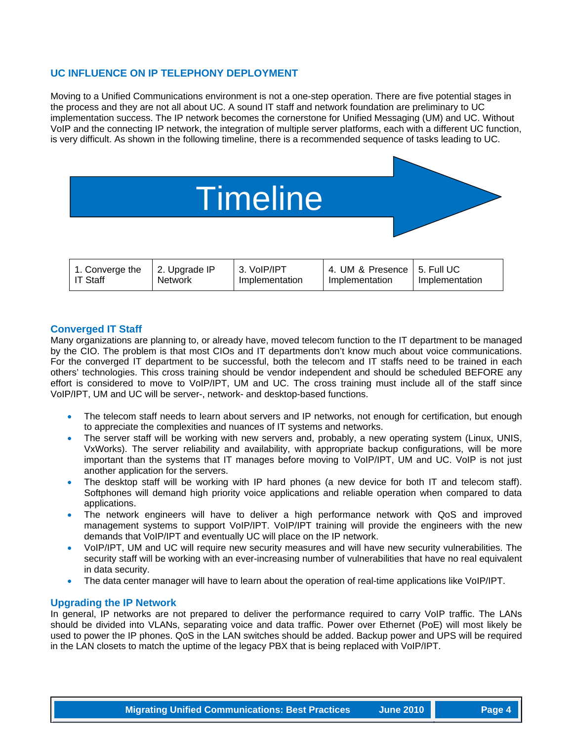#### **UC INFLUENCE ON IP TELEPHONY DEPLOYMENT**

Moving to a Unified Communications environment is not a one-step operation. There are five potential stages in the process and they are not all about UC. A sound IT staff and network foundation are preliminary to UC implementation success. The IP network becomes the cornerstone for Unified Messaging (UM) and UC. Without VoIP and the connecting IP network, the integration of multiple server platforms, each with a different UC function, is very difficult. As shown in the following timeline, there is a recommended sequence of tasks leading to UC.

# **Timeline**

| 2. Upgrade IP<br>1. Converge the<br>l IT Staff<br><b>Network</b> | 3. VoIP/IPT<br>Implementation | 4. UM & Presence   5. Full UC<br>Implementation | Implementation |
|------------------------------------------------------------------|-------------------------------|-------------------------------------------------|----------------|
|------------------------------------------------------------------|-------------------------------|-------------------------------------------------|----------------|

#### **Converged IT Staff**

Many organizations are planning to, or already have, moved telecom function to the IT department to be managed by the CIO. The problem is that most CIOs and IT departments don't know much about voice communications. For the converged IT department to be successful, both the telecom and IT staffs need to be trained in each others' technologies. This cross training should be vendor independent and should be scheduled BEFORE any effort is considered to move to VoIP/IPT, UM and UC. The cross training must include all of the staff since VoIP/IPT, UM and UC will be server-, network- and desktop-based functions.

- The telecom staff needs to learn about servers and IP networks, not enough for certification, but enough to appreciate the complexities and nuances of IT systems and networks.
- The server staff will be working with new servers and, probably, a new operating system (Linux, UNIS, VxWorks). The server reliability and availability, with appropriate backup configurations, will be more important than the systems that IT manages before moving to VoIP/IPT, UM and UC. VoIP is not just another application for the servers.
- The desktop staff will be working with IP hard phones (a new device for both IT and telecom staff). Softphones will demand high priority voice applications and reliable operation when compared to data applications.
- The network engineers will have to deliver a high performance network with QoS and improved management systems to support VoIP/IPT. VoIP/IPT training will provide the engineers with the new demands that VoIP/IPT and eventually UC will place on the IP network.
- VoIP/IPT, UM and UC will require new security measures and will have new security vulnerabilities. The security staff will be working with an ever-increasing number of vulnerabilities that have no real equivalent in data security.
- The data center manager will have to learn about the operation of real-time applications like VoIP/IPT.

#### **Upgrading the IP Network**

In general, IP networks are not prepared to deliver the performance required to carry VoIP traffic. The LANs should be divided into VLANs, separating voice and data traffic. Power over Ethernet (PoE) will most likely be used to power the IP phones. QoS in the LAN switches should be added. Backup power and UPS will be required in the LAN closets to match the uptime of the legacy PBX that is being replaced with VoIP/IPT.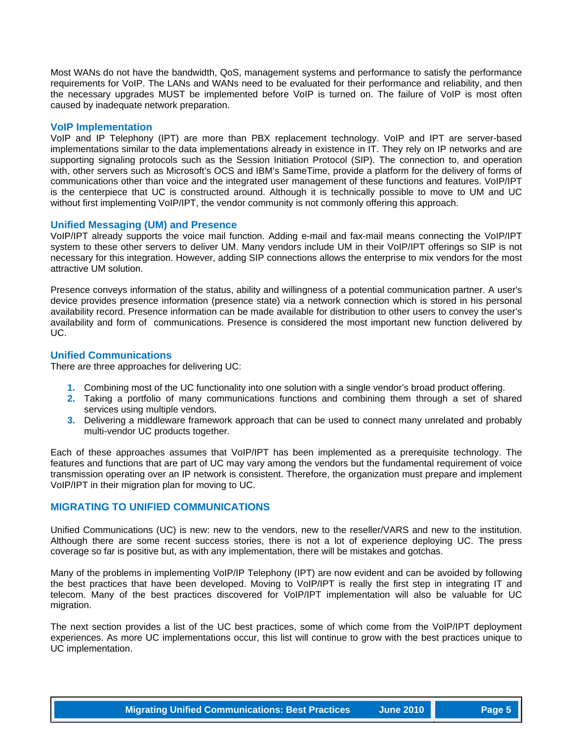Most WANs do not have the bandwidth, QoS, management systems and performance to satisfy the performance requirements for VoIP. The LANs and WANs need to be evaluated for their performance and reliability, and then the necessary upgrades MUST be implemented before VoIP is turned on. The failure of VoIP is most often caused by inadequate network preparation.

#### **VoIP Implementation**

VoIP and IP Telephony (IPT) are more than PBX replacement technology. VoIP and IPT are server-based implementations similar to the data implementations already in existence in IT. They rely on IP networks and are supporting signaling protocols such as the Session Initiation Protocol (SIP). The connection to, and operation with, other servers such as Microsoft's OCS and IBM's SameTime, provide a platform for the delivery of forms of communications other than voice and the integrated user management of these functions and features. VoIP/IPT is the centerpiece that UC is constructed around. Although it is technically possible to move to UM and UC without first implementing VoIP/IPT, the vendor community is not commonly offering this approach.

#### **Unified Messaging (UM) and Presence**

VoIP/IPT already supports the voice mail function. Adding e-mail and fax-mail means connecting the VoIP/IPT system to these other servers to deliver UM. Many vendors include UM in their VoIP/IPT offerings so SIP is not necessary for this integration. However, adding SIP connections allows the enterprise to mix vendors for the most attractive UM solution.

Presence conveys information of the status, ability and willingness of a potential communication partner. A user's device provides presence information (presence state) via a network connection which is stored in his personal availability record. Presence information can be made available for distribution to other users to convey the user's availability and form of communications. Presence is considered the most important new function delivered by UC.

#### **Unified Communications**

There are three approaches for delivering UC:

- **1.** Combining most of the UC functionality into one solution with a single vendor's broad product offering.
- **2.** Taking a portfolio of many communications functions and combining them through a set of shared services using multiple vendors.
- **3.** Delivering a middleware framework approach that can be used to connect many unrelated and probably multi-vendor UC products together.

Each of these approaches assumes that VoIP/IPT has been implemented as a prerequisite technology. The features and functions that are part of UC may vary among the vendors but the fundamental requirement of voice transmission operating over an IP network is consistent. Therefore, the organization must prepare and implement VoIP/IPT in their migration plan for moving to UC.

#### **MIGRATING TO UNIFIED COMMUNICATIONS**

Unified Communications (UC) is new: new to the vendors, new to the reseller/VARS and new to the institution. Although there are some recent success stories, there is not a lot of experience deploying UC. The press coverage so far is positive but, as with any implementation, there will be mistakes and gotchas.

Many of the problems in implementing VoIP/IP Telephony (IPT) are now evident and can be avoided by following the best practices that have been developed. Moving to VoIP/IPT is really the first step in integrating IT and telecom. Many of the best practices discovered for VoIP/IPT implementation will also be valuable for UC migration.

The next section provides a list of the UC best practices, some of which come from the VoIP/IPT deployment experiences. As more UC implementations occur, this list will continue to grow with the best practices unique to UC implementation.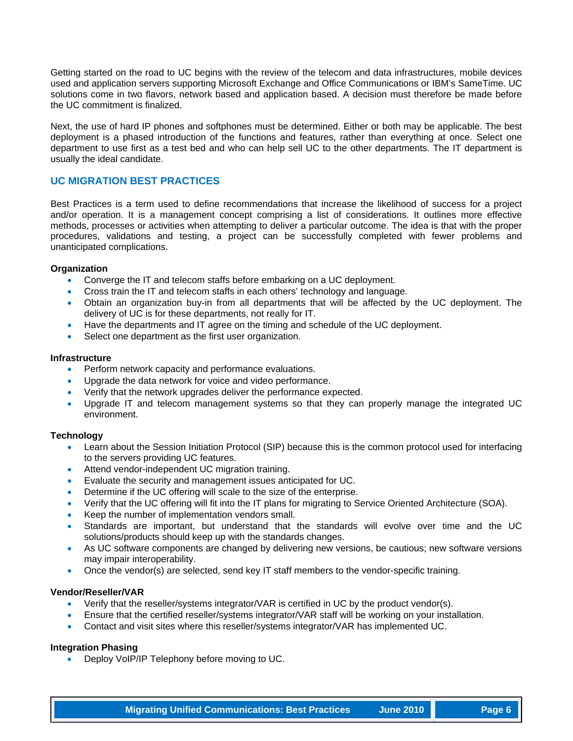Getting started on the road to UC begins with the review of the telecom and data infrastructures, mobile devices used and application servers supporting Microsoft Exchange and Office Communications or IBM's SameTime. UC solutions come in two flavors, network based and application based. A decision must therefore be made before the UC commitment is finalized.

Next, the use of hard IP phones and softphones must be determined. Either or both may be applicable. The best deployment is a phased introduction of the functions and features, rather than everything at once. Select one department to use first as a test bed and who can help sell UC to the other departments. The IT department is usually the ideal candidate.

#### **UC MIGRATION BEST PRACTICES**

Best Practices is a term used to define recommendations that increase the likelihood of success for a project and/or operation. It is a management concept comprising a list of considerations. It outlines more effective methods, processes or activities when attempting to deliver a particular outcome. The idea is that with the proper procedures, validations and testing, a project can be successfully completed with fewer problems and unanticipated complications.

#### **Organization**

- Converge the IT and telecom staffs before embarking on a UC deployment.
- Cross train the IT and telecom staffs in each others' technology and language.
- Obtain an organization buy-in from all departments that will be affected by the UC deployment. The delivery of UC is for these departments, not really for IT.
- Have the departments and IT agree on the timing and schedule of the UC deployment.
- Select one department as the first user organization.

#### **Infrastructure**

- Perform network capacity and performance evaluations.
- Upgrade the data network for voice and video performance.
- Verify that the network upgrades deliver the performance expected.
- Upgrade IT and telecom management systems so that they can properly manage the integrated UC environment.

#### **Technology**

- Learn about the Session Initiation Protocol (SIP) because this is the common protocol used for interfacing to the servers providing UC features.
- Attend vendor-independent UC migration training.
- Evaluate the security and management issues anticipated for UC.
- Determine if the UC offering will scale to the size of the enterprise.
- Verify that the UC offering will fit into the IT plans for migrating to Service Oriented Architecture (SOA).
- Keep the number of implementation vendors small.
- Standards are important, but understand that the standards will evolve over time and the UC solutions/products should keep up with the standards changes.
- As UC software components are changed by delivering new versions, be cautious; new software versions may impair interoperability.
- Once the vendor(s) are selected, send key IT staff members to the vendor-specific training.

#### **Vendor/Reseller/VAR**

- Verify that the reseller/systems integrator/VAR is certified in UC by the product vendor(s).
- Ensure that the certified reseller/systems integrator/VAR staff will be working on your installation.
- Contact and visit sites where this reseller/systems integrator/VAR has implemented UC.

#### **Integration Phasing**

• Deploy VoIP/IP Telephony before moving to UC.